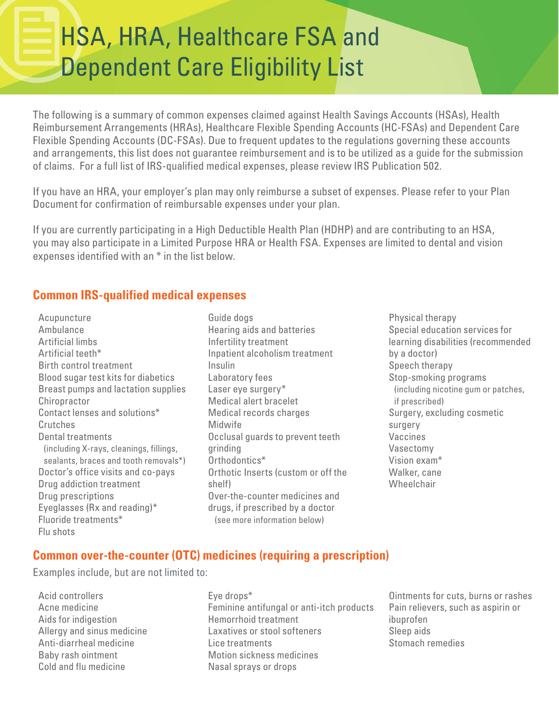# HSA, HRA, Healthcare FSA and Dependent Care Eligibility List

The following is a summary of common expenses claimed against Health Savings Accounts (HSAs), Health Reimbursement Arrangements (HRAs), Healthcare Flexible Spending Accounts (HC-FSAs) and Dependent Care Flexible Spending Accounts (DC-FSAs). Due to frequent updates to the regulations governing these accounts and arrangements, this list does not guarantee reimbursement and is to be utilized as a guide for the submission of claims. For a full list of IRS-qualified medical expenses, please review IRS Publication 502.

If you have an HRA, your employer's plan may only reimburse a subset of expenses. Please refer to your Plan Document for confirmation of reimbursable expenses under your plan.

If you are currently participating in a High Deductible Health Plan (HDHP) and are contributing to an HSA, you may also participate in a Limited Purpose HRA or Health FSA. Expenses are limited to dental and vision expenses identified with an \* in the list below.

## **Common IRS-qualified medical expenses**

Acupuncture Ambulance Artificial limbs Artificial teeth\* Birth control treatment Blood sugar test kits for diabetics Breast pumps and lactation supplies **Chiropractor** Contact lenses and solutions\* Crutches Dental treatments (including X-rays, cleanings, fillings, sealants, braces and tooth removals\*) Doctor's office visits and co-pays Drug addiction treatment Drug prescriptions Eyeglasses (Rx and reading)\* Fluoride treatments\* Flu shots

- Guide dogs Hearing aids and batteries Infertility treatment Inpatient alcoholism treatment Insulin Laboratory fees Laser eye surgery\* Medical alert bracelet Medical records charges Midwife Occlusal guards to prevent teeth grinding Orthodontics\* Orthotic Inserts (custom or off the shelf) Over-the-counter medicines and drugs, if prescribed by a doctor (see more information below)
- Physical therapy Special education services for learning disabilities (recommended by a doctor) Speech therapy Stop-smoking programs (including nicotine gum or patches, if prescribed) Surgery, excluding cosmetic surgery Vaccines Vasectomy Vision exam\* Walker, cane Wheelchair

## **Common over-the-counter (OTC) medicines (requiring a prescription)**

Examples include, but are not limited to:

- Acid controllers Acne medicine Aids for indigestion Allergy and sinus medicine Anti-diarrheal medicine Baby rash ointment Cold and flu medicine
- Eye drops\* Feminine antifungal or anti-itch products Hemorrhoid treatment Laxatives or stool softeners Lice treatments Motion sickness medicines Nasal sprays or drops
- Ointments for cuts, burns or rashes Pain relievers, such as aspirin or ibuprofen Sleep aids Stomach remedies